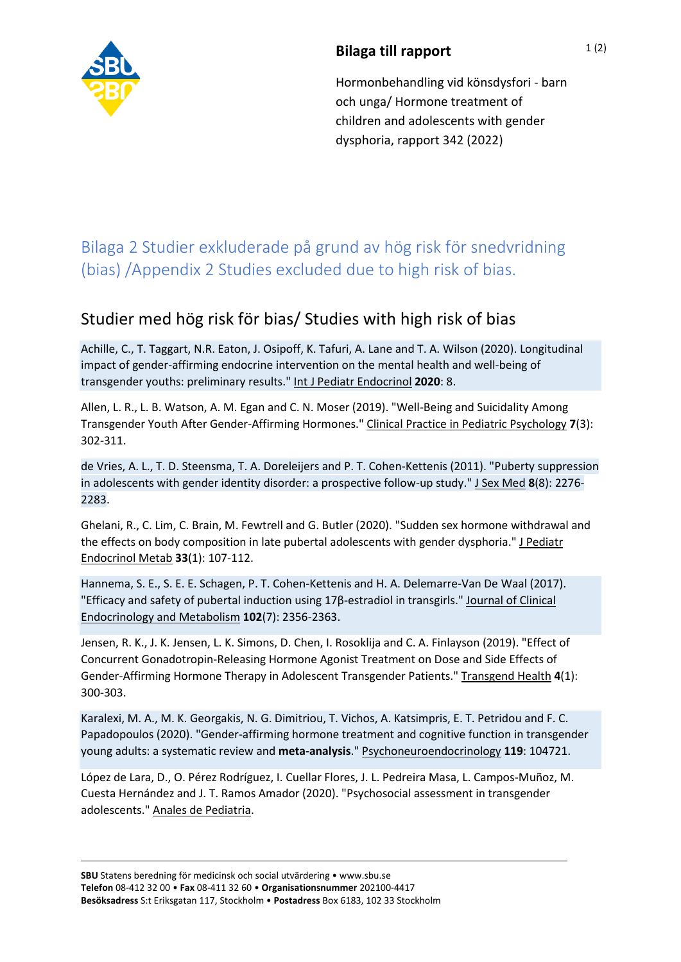

## **Bilaga till rapport**

Hormonbehandling vid könsdysfori - barn och unga/ Hormone treatment of children and adolescents with gender dysphoria, rapport 342 (2022)

## Bilaga 2 Studier exkluderade på grund av hög risk för snedvridning (bias) /Appendix 2 Studies excluded due to high risk of bias.

## Studier med hög risk för bias/ Studies with high risk of bias

Achille, C., T. Taggart, N.R. Eaton, J. Osipoff, K. Tafuri, A. Lane and T. A. Wilson (2020). Longitudinal impact of gender-affirming endocrine intervention on the mental health and well-being of transgender youths: preliminary results." Int J Pediatr Endocrinol **2020**: 8.

Allen, L. R., L. B. Watson, A. M. Egan and C. N. Moser (2019). "Well-Being and Suicidality Among Transgender Youth After Gender-Affirming Hormones." Clinical Practice in Pediatric Psychology **7**(3): 302-311.

de Vries, A. L., T. D. Steensma, T. A. Doreleijers and P. T. Cohen-Kettenis (2011). "Puberty suppression in adolescents with gender identity disorder: a prospective follow-up study." J Sex Med **8**(8): 2276- 2283.

Ghelani, R., C. Lim, C. Brain, M. Fewtrell and G. Butler (2020). "Sudden sex hormone withdrawal and the effects on body composition in late pubertal adolescents with gender dysphoria." J Pediatr Endocrinol Metab **33**(1): 107-112.

Hannema, S. E., S. E. E. Schagen, P. T. Cohen-Kettenis and H. A. Delemarre-Van De Waal (2017). "Efficacy and safety of pubertal induction using 17β-estradiol in transgirls." Journal of Clinical Endocrinology and Metabolism **102**(7): 2356-2363.

Jensen, R. K., J. K. Jensen, L. K. Simons, D. Chen, I. Rosoklija and C. A. Finlayson (2019). "Effect of Concurrent Gonadotropin-Releasing Hormone Agonist Treatment on Dose and Side Effects of Gender-Affirming Hormone Therapy in Adolescent Transgender Patients." Transgend Health **4**(1): 300-303.

Karalexi, M. A., M. K. Georgakis, N. G. Dimitriou, T. Vichos, A. Katsimpris, E. T. Petridou and F. C. Papadopoulos (2020). "Gender-affirming hormone treatment and cognitive function in transgender young adults: a systematic review and **meta-analysis**." Psychoneuroendocrinology **119**: 104721.

López de Lara, D., O. Pérez Rodríguez, I. Cuellar Flores, J. L. Pedreira Masa, L. Campos-Muñoz, M. Cuesta Hernández and J. T. Ramos Amador (2020). "Psychosocial assessment in transgender adolescents." Anales de Pediatria.